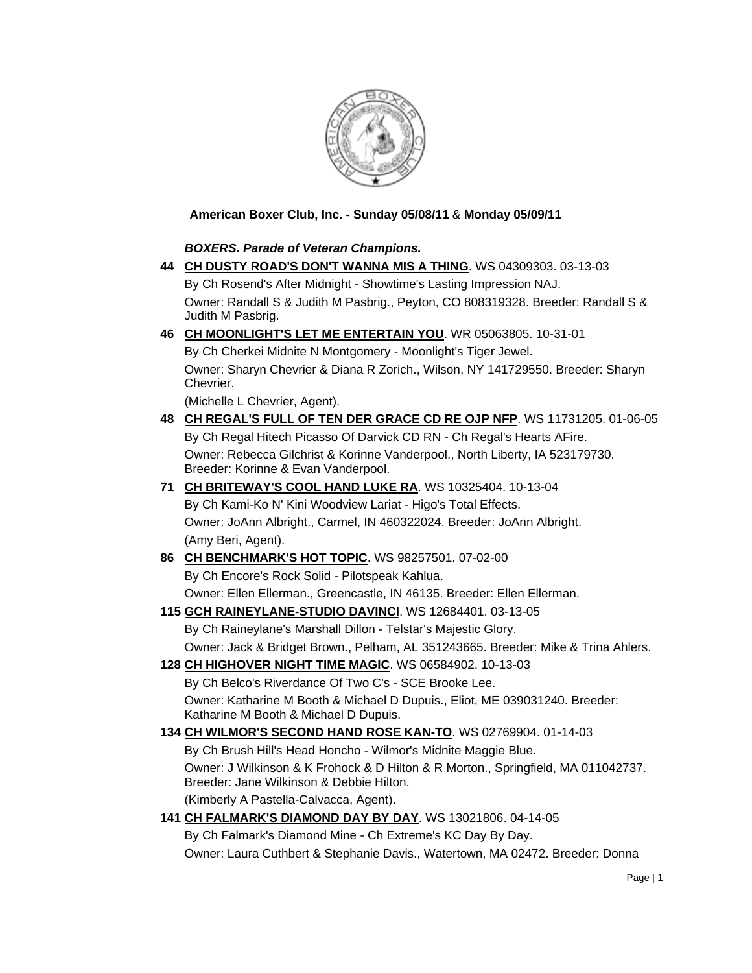

### **American Boxer Club, Inc. - Sunday 05/08/11** & **Monday 05/09/11**

#### *BOXERS. Parade of Veteran Champions.*

- **44 [CH DUSTY ROAD'S DON'T WANNA MIS A THING](http://canis.infodog.com/files/bdogrsl1.prg;makc=WS_04309303;mdog=Ch_Dusty_Road_s_Don_t_Wanna_Mis_A_Thing;wins=all)**. WS 04309303. 03-13-03 By Ch Rosend's After Midnight - Showtime's Lasting Impression NAJ. Owner: Randall S & Judith M Pasbrig., Peyton, CO 808319328. Breeder: Randall S & Judith M Pasbrig.
- **46 [CH MOONLIGHT'S LET ME ENTERTAIN YOU](http://canis.infodog.com/files/bdogrsl1.prg;makc=WR_05063805;mdog=Ch_Moonlight_s_Let_Me_Entertain_You;wins=all)**. WR 05063805. 10-31-01 By Ch Cherkei Midnite N Montgomery - Moonlight's Tiger Jewel. Owner: Sharyn Chevrier & Diana R Zorich., Wilson, NY 141729550. Breeder: Sharyn Chevrier.

(Michelle L Chevrier, Agent).

- **48 [CH REGAL'S FULL OF TEN DER GRACE CD RE OJP NFP](http://canis.infodog.com/files/bdogrsl1.prg;makc=WS_11731205;mdog=Ch_Regal_s_Full_Of_Ten_Der_Grace_CD_RE_OJP_NFP;wins=all)**. WS 11731205. 01-06-05 By Ch Regal Hitech Picasso Of Darvick CD RN - Ch Regal's Hearts AFire. Owner: Rebecca Gilchrist & Korinne Vanderpool., North Liberty, IA 523179730. Breeder: Korinne & Evan Vanderpool.
- **71 [CH BRITEWAY'S COOL HAND LUKE RA](http://canis.infodog.com/files/bdogrsl1.prg;makc=WS_10325404;mdog=Ch_Briteway_s_Cool_Hand_Luke_RA;wins=all)**. WS 10325404. 10-13-04 By Ch Kami-Ko N' Kini Woodview Lariat - Higo's Total Effects. Owner: JoAnn Albright., Carmel, IN 460322024. Breeder: JoAnn Albright. (Amy Beri, Agent).
- **86 [CH BENCHMARK'S HOT TOPIC](http://canis.infodog.com/files/bdogrsl1.prg;makc=WS_98257501;mdog=Ch_Benchmark_s_Hot_Topic;wins=all)**. WS 98257501. 07-02-00 By Ch Encore's Rock Solid - Pilotspeak Kahlua. Owner: Ellen Ellerman., Greencastle, IN 46135. Breeder: Ellen Ellerman.
- **115 [GCH RAINEYLANE-STUDIO DAVINCI](http://canis.infodog.com/files/bdogrsl1.prg;makc=WS_12684401;mdog=GCH_Raineylane-Studio_DaVinci;wins=all)**. WS 12684401. 03-13-05

By Ch Raineylane's Marshall Dillon - Telstar's Majestic Glory. Owner: Jack & Bridget Brown., Pelham, AL 351243665. Breeder: Mike & Trina Ahlers.

- **128 [CH HIGHOVER NIGHT TIME MAGIC](http://canis.infodog.com/files/bdogrsl1.prg;makc=WS_06584902;mdog=Ch_Highover_Night_Time_Magic;wins=all)**. WS 06584902. 10-13-03 By Ch Belco's Riverdance Of Two C's - SCE Brooke Lee. Owner: Katharine M Booth & Michael D Dupuis., Eliot, ME 039031240. Breeder: Katharine M Booth & Michael D Dupuis.
- **134 [CH WILMOR'S SECOND HAND ROSE KAN-TO](http://canis.infodog.com/files/bdogrsl1.prg;makc=WS_02769904;mdog=Ch_Wilmor_s_Second_Hand_Rose_Kan-To;wins=all)**. WS 02769904. 01-14-03 By Ch Brush Hill's Head Honcho - Wilmor's Midnite Maggie Blue. Owner: J Wilkinson & K Frohock & D Hilton & R Morton., Springfield, MA 011042737. Breeder: Jane Wilkinson & Debbie Hilton. (Kimberly A Pastella-Calvacca, Agent).
- **141 [CH FALMARK'S DIAMOND DAY BY DAY](http://canis.infodog.com/files/bdogrsl1.prg;makc=WS_13021806;mdog=Ch_Falmark_s_Diamond_Day_By_Day;wins=all)**. WS 13021806. 04-14-05 By Ch Falmark's Diamond Mine - Ch Extreme's KC Day By Day. Owner: Laura Cuthbert & Stephanie Davis., Watertown, MA 02472. Breeder: Donna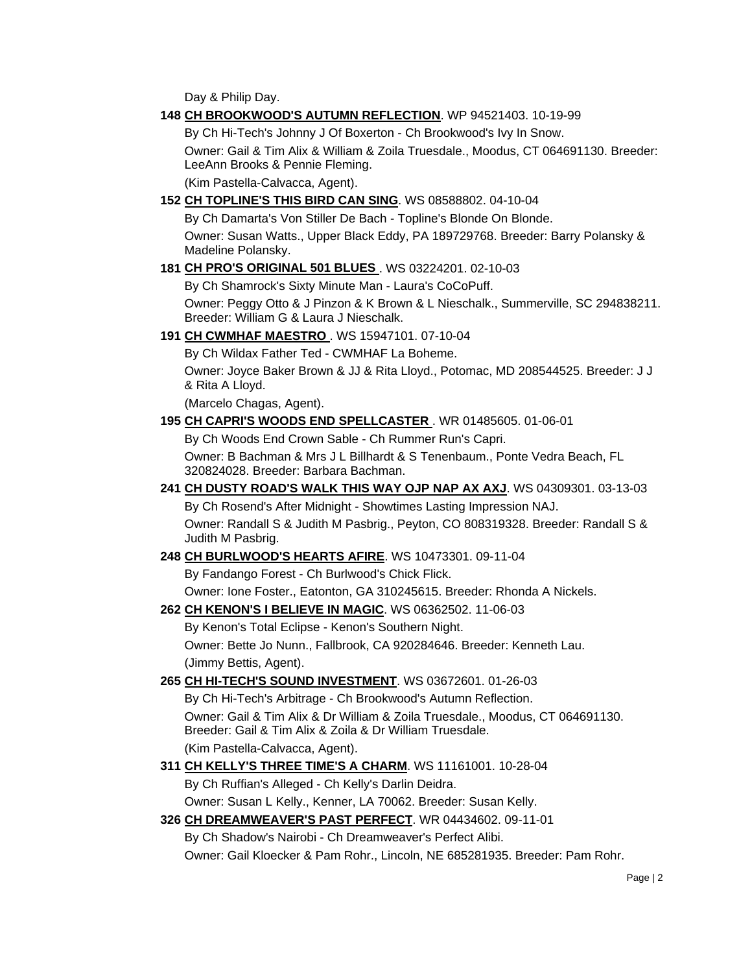Day & Philip Day.

#### **148 [CH BROOKWOOD'S AUTUMN REFLECTION](http://canis.infodog.com/files/bdogrsl1.prg;makc=WP_94521403;mdog=Ch_Brookwood_s_Autumn_Reflection;wins=all)**. WP 94521403. 10-19-99

By Ch Hi-Tech's Johnny J Of Boxerton - Ch Brookwood's Ivy In Snow. Owner: Gail & Tim Alix & William & Zoila Truesdale., Moodus, CT 064691130. Breeder: LeeAnn Brooks & Pennie Fleming.

(Kim Pastella-Calvacca, Agent).

#### **152 [CH TOPLINE'S THIS BIRD CAN SING](http://canis.infodog.com/files/bdogrsl1.prg;makc=WS_08588802;mdog=Ch_Topline_s_This_Bird_Can_Sing;wins=all)**. WS 08588802. 04-10-04

By Ch Damarta's Von Stiller De Bach - Topline's Blonde On Blonde. Owner: Susan Watts., Upper Black Eddy, PA 189729768. Breeder: Barry Polansky & Madeline Polansky.

#### **181 [CH PRO'S ORIGINAL 501 BLUES](http://canis.infodog.com/files/bdogrsl1.prg;makc=WS_03224201;mdog=Ch_PRO_s_Original_501_Blues;wins=all)** [.](http://www.infodog.com/my/dogpage.htm?akc=WS%2003224201) WS 03224201. 02-10-03

By Ch Shamrock's Sixty Minute Man - Laura's CoCoPuff.

Owner: Peggy Otto & J Pinzon & K Brown & L Nieschalk., Summerville, SC 294838211. Breeder: William G & Laura J Nieschalk.

**191 [CH CWMHAF MAESTRO](http://canis.infodog.com/files/bdogrsl1.prg;makc=WS_15947101;mdog=Ch_CWMHAF_Maestro;wins=all)** [.](http://www.infodog.com/my/dogpage.htm?akc=WS%2015947101) WS 15947101. 07-10-04

By Ch Wildax Father Ted - CWMHAF La Boheme.

Owner: Joyce Baker Brown & JJ & Rita Lloyd., Potomac, MD 208544525. Breeder: J J & Rita A Lloyd.

(Marcelo Chagas, Agent).

#### **195 [CH CAPRI'S WOODS END SPELLCASTER](http://canis.infodog.com/files/bdogrsl1.prg;makc=WR_01485605;mdog=Ch_Capri_s_Woods_End_Spellcaster;wins=all)** . WR 01485605. 01-06-01

By Ch Woods End Crown Sable - Ch Rummer Run's Capri.

Owner: B Bachman & Mrs J L Billhardt & S Tenenbaum., Ponte Vedra Beach, FL 320824028. Breeder: Barbara Bachman.

#### **241 [CH DUSTY ROAD'S WALK THIS WAY OJP NAP AX AXJ](http://canis.infodog.com/files/bdogrsl1.prg;makc=WS_04309301;mdog=Ch_Dusty_Road_s_Walk_This_Way_OJP_NAP_AX_AXJ;wins=all)**. WS 04309301. 03-13-03 By Ch Rosend's After Midnight - Showtimes Lasting Impression NAJ.

Owner: Randall S & Judith M Pasbrig., Peyton, CO 808319328. Breeder: Randall S & Judith M Pasbrig.

#### **248 [CH BURLWOOD'S HEARTS AFIRE](http://canis.infodog.com/files/bdogrsl1.prg;makc=WS_10473301;mdog=Ch_Burlwood_s_Hearts_Afire;wins=all)**. WS 10473301. 09-11-04

By Fandango Forest - Ch Burlwood's Chick Flick.

Owner: Ione Foster., Eatonton, GA 310245615. Breeder: Rhonda A Nickels.

#### **262 [CH KENON'S I BELIEVE IN MAGIC](http://canis.infodog.com/files/bdogrsl1.prg;makc=WS_06362502;mdog=Ch_Kenon_s_I_Believe_In_Magic;wins=all)**. WS 06362502. 11-06-03

By Kenon's Total Eclipse - Kenon's Southern Night. Owner: Bette Jo Nunn., Fallbrook, CA 920284646. Breeder: Kenneth Lau. (Jimmy Bettis, Agent).

#### **265 [CH HI-TECH'S SOUND INVESTMENT](http://canis.infodog.com/files/bdogrsl1.prg;makc=WS_03672601;mdog=Ch_Hi-Tech_s_Sound_Investment;wins=all)**. WS 03672601. 01-26-03

By Ch Hi-Tech's Arbitrage - Ch Brookwood's Autumn Reflection. Owner: Gail & Tim Alix & Dr William & Zoila Truesdale., Moodus, CT 064691130. Breeder: Gail & Tim Alix & Zoila & Dr William Truesdale. (Kim Pastella-Calvacca, Agent).

## **311 [CH KELLY'S THREE TIME'S A CHARM](http://canis.infodog.com/files/bdogrsl1.prg;makc=WS_11161001;mdog=Ch_Kelly_s_Three_Time_s_A_Charm;wins=all)**. WS 11161001. 10-28-04

By Ch Ruffian's Alleged - Ch Kelly's Darlin Deidra. Owner: Susan L Kelly., Kenner, LA 70062. Breeder: Susan Kelly.

#### **326 [CH DREAMWEAVER'S PAST PERFECT](http://canis.infodog.com/files/bdogrsl1.prg;makc=WR_04434602;mdog=Ch_Dreamweaver_s_Past_Perfect;wins=all)**. WR 04434602. 09-11-01

By Ch Shadow's Nairobi - Ch Dreamweaver's Perfect Alibi. Owner: Gail Kloecker & Pam Rohr., Lincoln, NE 685281935. Breeder: Pam Rohr.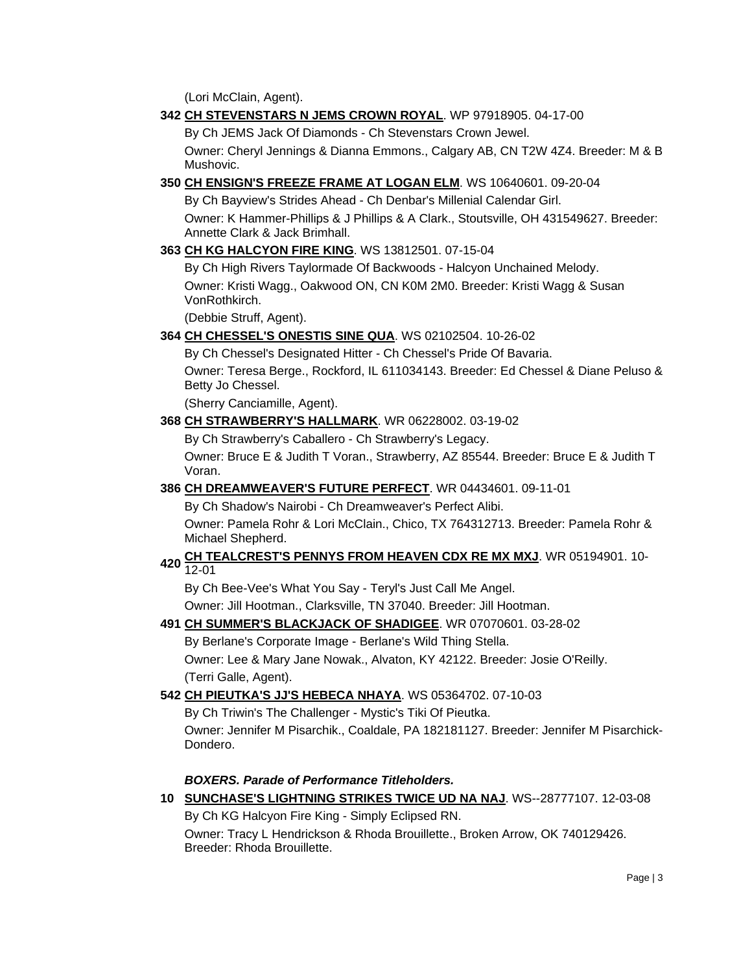(Lori McClain, Agent).

#### **342 [CH STEVENSTARS N JEMS CROWN ROYAL](http://canis.infodog.com/files/bdogrsl1.prg;makc=WP_97918905;mdog=Ch_Stevenstars_N_JEMS_Crown_Royal;wins=all)**. WP 97918905. 04-17-00

By Ch JEMS Jack Of Diamonds - Ch Stevenstars Crown Jewel.

Owner: Cheryl Jennings & Dianna Emmons., Calgary AB, CN T2W 4Z4. Breeder: M & B Mushovic.

#### **350 [CH ENSIGN'S FREEZE FRAME AT LOGAN ELM](http://canis.infodog.com/files/bdogrsl1.prg;makc=WS_10640601;mdog=Ch_Ensign_s_Freeze_Frame_At_Logan_Elm;wins=all)**. WS 10640601. 09-20-04

By Ch Bayview's Strides Ahead - Ch Denbar's Millenial Calendar Girl.

Owner: K Hammer-Phillips & J Phillips & A Clark., Stoutsville, OH 431549627. Breeder: Annette Clark & Jack Brimhall.

#### **363 [CH KG HALCYON FIRE KING](http://canis.infodog.com/files/bdogrsl1.prg;makc=WS_13812501;mdog=Ch_KG_Halcyon_Fire_King;wins=all)**. WS 13812501. 07-15-04

By Ch High Rivers Taylormade Of Backwoods - Halcyon Unchained Melody. Owner: Kristi Wagg., Oakwood ON, CN K0M 2M0. Breeder: Kristi Wagg & Susan VonRothkirch.

(Debbie Struff, Agent).

#### **364 [CH CHESSEL'S ONESTIS SINE QUA](http://canis.infodog.com/files/bdogrsl1.prg;makc=WS_02102504;mdog=Ch_Chessel_s_Onestis_Sine_Qua;wins=all)**. WS 02102504. 10-26-02

By Ch Chessel's Designated Hitter - Ch Chessel's Pride Of Bavaria.

Owner: Teresa Berge., Rockford, IL 611034143. Breeder: Ed Chessel & Diane Peluso & Betty Jo Chessel.

(Sherry Canciamille, Agent).

**368 [CH STRAWBERRY'S HALLMARK](http://canis.infodog.com/files/bdogrsl1.prg;makc=WR_06228002;mdog=Ch_Strawberry_s_Hallmark;wins=all)**. WR 06228002. 03-19-02

By Ch Strawberry's Caballero - Ch Strawberry's Legacy.

Owner: Bruce E & Judith T Voran., Strawberry, AZ 85544. Breeder: Bruce E & Judith T Voran.

#### **386 [CH DREAMWEAVER'S FUTURE PERFECT](http://canis.infodog.com/files/bdogrsl1.prg;makc=WR_04434601;mdog=Ch_Dreamweaver_s_Future_Perfect;wins=all)**. WR 04434601. 09-11-01

By Ch Shadow's Nairobi - Ch Dreamweaver's Perfect Alibi.

Owner: Pamela Rohr & Lori McClain., Chico, TX 764312713. Breeder: Pamela Rohr & Michael Shepherd.

## **<sup>420</sup> [CH TEALCREST'S PENNYS FROM HEAVEN CDX RE MX MXJ](http://canis.infodog.com/files/bdogrsl1.prg;makc=WR_05194901;mdog=Ch_TealCrest_s_Pennys_From_Heaven_CDX_RE_MX_MXJ;wins=all)**. WR 05194901. 10- 12-01

By Ch Bee-Vee's What You Say - Teryl's Just Call Me Angel.

Owner: Jill Hootman., Clarksville, TN 37040. Breeder: Jill Hootman.

#### **491 [CH SUMMER'S BLACKJACK OF SHADIGEE](http://canis.infodog.com/files/bdogrsl1.prg;makc=WR_07070601;mdog=Ch_Summer_s_Blackjack_Of_Shadigee;wins=all)**. WR 07070601. 03-28-02

By Berlane's Corporate Image - Berlane's Wild Thing Stella. Owner: Lee & Mary Jane Nowak., Alvaton, KY 42122. Breeder: Josie O'Reilly. (Terri Galle, Agent).

#### **542 [CH PIEUTKA'S JJ'S HEBECA NHAYA](http://canis.infodog.com/files/bdogrsl1.prg;makc=WS_05364702;mdog=Ch_Pieutka_s_JJ_s_Hebeca_Nhaya;wins=all)**. WS 05364702. 07-10-03

By Ch Triwin's The Challenger - Mystic's Tiki Of Pieutka.

Owner: Jennifer M Pisarchik., Coaldale, PA 182181127. Breeder: Jennifer M Pisarchick-Dondero.

#### *BOXERS. Parade of Performance Titleholders.*

**10 [SUNCHASE'S LIGHTNING STRIKES TWICE UD NA NAJ](http://canis.infodog.com/files/bdogrsl1.prg;makc=WS--28777107;mdog=Sunchase_s_Lightning_Strikes_Twice_UD_NA_NAJ;wins=all)**. WS--28777107. 12-03-08 By Ch KG Halcyon Fire King - Simply Eclipsed RN.

Owner: Tracy L Hendrickson & Rhoda Brouillette., Broken Arrow, OK 740129426. Breeder: Rhoda Brouillette.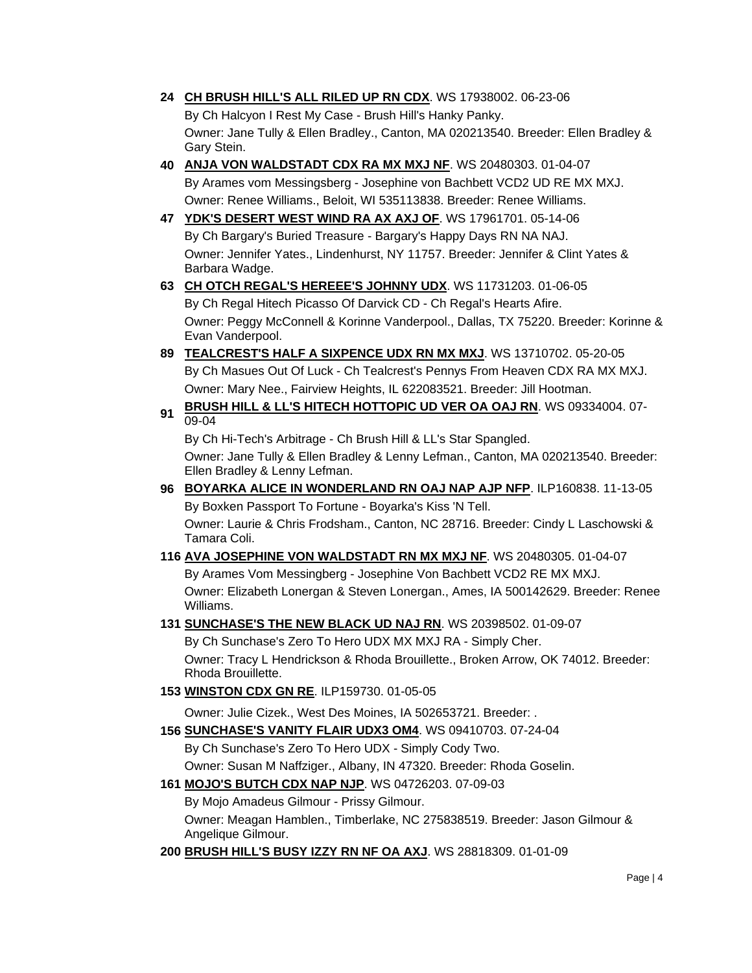**24 [CH BRUSH HILL'S ALL RILED UP RN CDX](http://canis.infodog.com/files/bdogrsl1.prg;makc=WS_17938002;mdog=Ch_Brush_Hill_s_All_Riled_Up_RN_CDX;wins=all)**. WS 17938002. 06-23-06

By Ch Halcyon I Rest My Case - Brush Hill's Hanky Panky. Owner: Jane Tully & Ellen Bradley., Canton, MA 020213540. Breeder: Ellen Bradley & Gary Stein.

- **40 [ANJA VON WALDSTADT CDX RA MX MXJ NF](http://canis.infodog.com/files/bdogrsl1.prg;makc=WS_20480303;mdog=Anja_von_Waldstadt_CDX_RA_MX_MXJ_NF;wins=all)**. WS 20480303. 01-04-07 By Arames vom Messingsberg - Josephine von Bachbett VCD2 UD RE MX MXJ. Owner: Renee Williams., Beloit, WI 535113838. Breeder: Renee Williams.
- **47 [YDK'S DESERT WEST WIND RA AX AXJ OF](http://canis.infodog.com/files/bdogrsl1.prg;makc=WS_17961701;mdog=YDK_s_Desert_West_Wind_RA_AX_AXJ_OF;wins=all)**. WS 17961701. 05-14-06 By Ch Bargary's Buried Treasure - Bargary's Happy Days RN NA NAJ. Owner: Jennifer Yates., Lindenhurst, NY 11757. Breeder: Jennifer & Clint Yates & Barbara Wadge.

### **63 [CH OTCH REGAL'S HEREEE'S JOHNNY UDX](http://canis.infodog.com/files/bdogrsl1.prg;makc=WS_11731203;mdog=Ch_OTCH_Regal_s_Hereee_s_Johnny_UDX;wins=all)**. WS 11731203. 01-06-05 By Ch Regal Hitech Picasso Of Darvick CD - Ch Regal's Hearts Afire. Owner: Peggy McConnell & Korinne Vanderpool., Dallas, TX 75220. Breeder: Korinne & Evan Vanderpool.

- **89 [TEALCREST'S HALF A SIXPENCE UDX RN MX MXJ](http://canis.infodog.com/files/bdogrsl1.prg;makc=WS_13710702;mdog=Tealcrest_s_Half_A_Sixpence_UDX_RN_MX_MXJ;wins=all)**. WS 13710702. 05-20-05 By Ch Masues Out Of Luck - Ch Tealcrest's Pennys From Heaven CDX RA MX MXJ. Owner: Mary Nee., Fairview Heights, IL 622083521. Breeder: Jill Hootman.
- **<sup>91</sup> [BRUSH HILL & LL'S HITECH HOTTOPIC UD VER OA OAJ RN](http://canis.infodog.com/files/bdogrsl1.prg;makc=WS_09334004;mdog=Brush_Hill_&_LL_s_HiTech_HotTopic_UD_VER_OA_OAJ_RN;wins=all)**. WS 09334004. 07- 09-04

By Ch Hi-Tech's Arbitrage - Ch Brush Hill & LL's Star Spangled.

Owner: Jane Tully & Ellen Bradley & Lenny Lefman., Canton, MA 020213540. Breeder: Ellen Bradley & Lenny Lefman.

**96 [BOYARKA ALICE IN WONDERLAND RN OAJ NAP AJP NFP](http://canis.infodog.com/files/bdogrsl1.prg;makc=ILP160838;mdog=Boyarka_Alice_In_Wonderland_RN_OAJ_NAP_AJP_NFP;wins=all)**. ILP160838. 11-13-05 By Boxken Passport To Fortune - Boyarka's Kiss 'N Tell.

Owner: Laurie & Chris Frodsham., Canton, NC 28716. Breeder: Cindy L Laschowski & Tamara Coli.

**116 [AVA JOSEPHINE VON WALDSTADT RN MX MXJ NF](http://canis.infodog.com/files/bdogrsl1.prg;makc=WS_20480305;mdog=Ava_Josephine_Von_Waldstadt_RN_MX_MXJ_NF;wins=all)**. WS 20480305. 01-04-07

By Arames Vom Messingberg - Josephine Von Bachbett VCD2 RE MX MXJ. Owner: Elizabeth Lonergan & Steven Lonergan., Ames, IA 500142629. Breeder: Renee Williams.

**131 [SUNCHASE'S THE NEW BLACK UD NAJ RN](http://canis.infodog.com/files/bdogrsl1.prg;makc=WS_20398502;mdog=Sunchase_s_The_New_Black_UD_NAJ_RN;wins=all)**. WS 20398502. 01-09-07

By Ch Sunchase's Zero To Hero UDX MX MXJ RA - Simply Cher. Owner: Tracy L Hendrickson & Rhoda Brouillette., Broken Arrow, OK 74012. Breeder: Rhoda Brouillette.

**153 [WINSTON CDX GN RE](http://canis.infodog.com/files/bdogrsl1.prg;makc=ILP159730;mdog=Winston_CDX_GN_RE;wins=all)**. ILP159730. 01-05-05

Owner: Julie Cizek., West Des Moines, IA 502653721. Breeder: .

**156 [SUNCHASE'S VANITY FLAIR UDX3 OM4](http://canis.infodog.com/files/bdogrsl1.prg;makc=WS_09410703;mdog=Sunchase_s_Vanity_Flair_UDX3_OM4;wins=all)**. WS 09410703. 07-24-04

By Ch Sunchase's Zero To Hero UDX - Simply Cody Two.

Owner: Susan M Naffziger., Albany, IN 47320. Breeder: Rhoda Goselin.

**161 [MOJO'S BUTCH CDX NAP NJP](http://canis.infodog.com/files/bdogrsl1.prg;makc=WS_04726203;mdog=Mojo_s_Butch_CDX_NAP_NJP;wins=all)**. WS 04726203. 07-09-03

By Mojo Amadeus Gilmour - Prissy Gilmour.

Owner: Meagan Hamblen., Timberlake, NC 275838519. Breeder: Jason Gilmour & Angelique Gilmour.

**200 [BRUSH HILL'S BUSY IZZY RN NF OA AXJ](http://canis.infodog.com/files/bdogrsl1.prg;makc=WS_28818309;mdog=Brush_Hill_s_Busy_Izzy_RN_NF_OA_AXJ;wins=all)**. WS 28818309. 01-01-09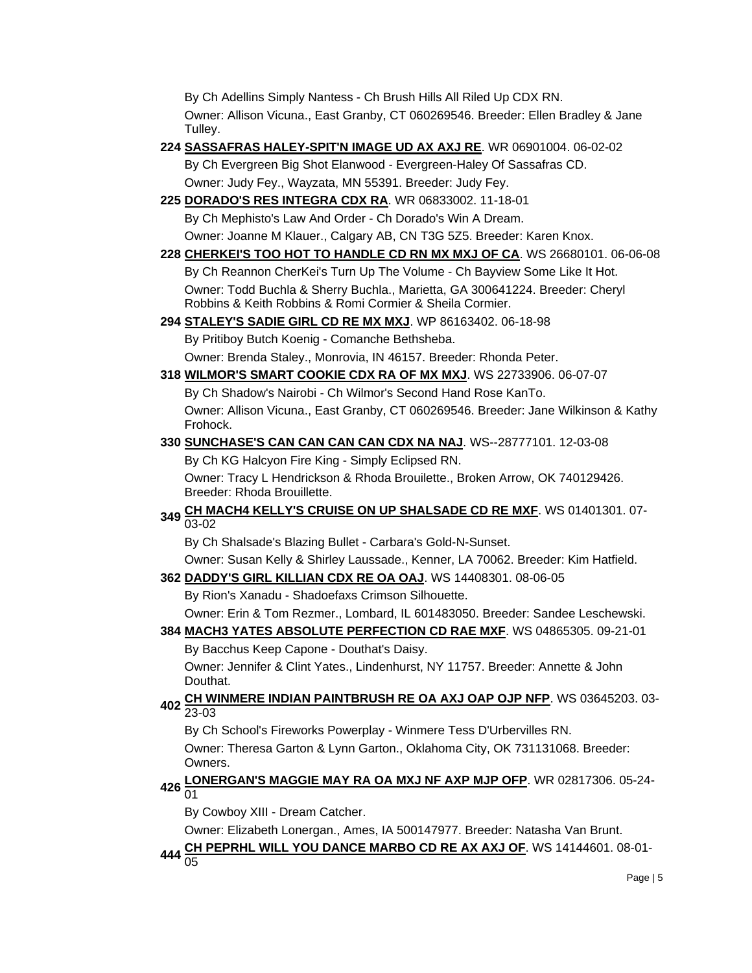By Ch Adellins Simply Nantess - Ch Brush Hills All Riled Up CDX RN. Owner: Allison Vicuna., East Granby, CT 060269546. Breeder: Ellen Bradley & Jane Tulley.

**224 [SASSAFRAS HALEY-SPIT'N IMAGE UD AX AXJ RE](http://canis.infodog.com/files/bdogrsl1.prg;makc=WR_06901004;mdog=Sassafras_Haley-Spit_N_Image_UD_AX_AXJ_RE;wins=all)**. WR 06901004. 06-02-02

By Ch Evergreen Big Shot Elanwood - Evergreen-Haley Of Sassafras CD. Owner: Judy Fey., Wayzata, MN 55391. Breeder: Judy Fey.

**225 [DORADO'S RES INTEGRA CDX RA](http://canis.infodog.com/files/bdogrsl1.prg;makc=WR_06833002;mdog=Dorado_s_Res_Integra_CDX_RA;wins=all)**. WR 06833002. 11-18-01

By Ch Mephisto's Law And Order - Ch Dorado's Win A Dream.

Owner: Joanne M Klauer., Calgary AB, CN T3G 5Z5. Breeder: Karen Knox.

**228 [CHERKEI'S TOO HOT TO HANDLE CD RN MX MXJ OF CA](http://canis.infodog.com/files/bdogrsl1.prg;makc=WS_26680101;mdog=CherKei_s_Too_Hot_To_Handle_CD_RN_MX_MXJ_OF_CA;wins=all)**. WS 26680101. 06-06-08 By Ch Reannon CherKei's Turn Up The Volume - Ch Bayview Some Like It Hot. Owner: Todd Buchla & Sherry Buchla., Marietta, GA 300641224. Breeder: Cheryl Robbins & Keith Robbins & Romi Cormier & Sheila Cormier.

**294 [STALEY'S SADIE GIRL CD RE MX MXJ](http://canis.infodog.com/files/bdogrsl1.prg;makc=WP_86163402;mdog=Staley_s_Sadie_Girl_CD_RE_MX_MXJ;wins=all)**. WP 86163402. 06-18-98

By Pritiboy Butch Koenig - Comanche Bethsheba.

Owner: Brenda Staley., Monrovia, IN 46157. Breeder: Rhonda Peter.

**318 [WILMOR'S SMART COOKIE CDX RA OF MX MXJ](http://canis.infodog.com/files/bdogrsl1.prg;makc=WS_22733906;mdog=Wilmor_s_Smart_Cookie_CDX_RA_OF_MX_MXJ;wins=all)**. WS 22733906. 06-07-07

By Ch Shadow's Nairobi - Ch Wilmor's Second Hand Rose KanTo. Owner: Allison Vicuna., East Granby, CT 060269546. Breeder: Jane Wilkinson & Kathy Frohock.

### **330 [SUNCHASE'S CAN CAN CAN CAN CDX NA NAJ](http://canis.infodog.com/files/bdogrsl1.prg;makc=WS--28777101;mdog=Sunchase_s_Can_Can_Can_Can_CDX_NA_NAJ;wins=all)**. WS--28777101. 12-03-08

By Ch KG Halcyon Fire King - Simply Eclipsed RN.

Owner: Tracy L Hendrickson & Rhoda Brouilette., Broken Arrow, OK 740129426. Breeder: Rhoda Brouillette.

**<sup>349</sup> [CH MACH4 KELLY'S CRUISE ON UP SHALSADE CD RE MXF](http://canis.infodog.com/files/bdogrsl1.prg;makc=WS_01401301;mdog=Ch_MACH4_Kelly_s_Cruise_On_Up_Shalsade_CD_RE_MXF;wins=all)**. WS 01401301. 07- 03-02

By Ch Shalsade's Blazing Bullet - Carbara's Gold-N-Sunset.

Owner: Susan Kelly & Shirley Laussade., Kenner, LA 70062. Breeder: Kim Hatfield.

**362 [DADDY'S GIRL KILLIAN CDX RE OA OAJ](http://canis.infodog.com/files/bdogrsl1.prg;makc=WS_14408301;mdog=Daddy_s_Girl_Killian_CDX_RE_OA_OAJ;wins=all)**. WS 14408301. 08-06-05

By Rion's Xanadu - Shadoefaxs Crimson Silhouette.

Owner: Erin & Tom Rezmer., Lombard, IL 601483050. Breeder: Sandee Leschewski.

**384 [MACH3 YATES ABSOLUTE PERFECTION CD RAE MXF](http://canis.infodog.com/files/bdogrsl1.prg;makc=WS_04865305;mdog=MACH3_Yates_Absolute_Perfection_CD_RAE_MXF;wins=all)**. WS 04865305. 09-21-01 By Bacchus Keep Capone - Douthat's Daisy.

Owner: Jennifer & Clint Yates., Lindenhurst, NY 11757. Breeder: Annette & John Douthat.

# **<sup>402</sup> [CH WINMERE INDIAN PAINTBRUSH RE OA AXJ OAP OJP NFP](http://canis.infodog.com/files/bdogrsl1.prg;makc=WS_03645203;mdog=Ch_Winmere_Indian_Paintbrush_RE_OA_AXJ_OAP_OJP_NFP;wins=all)**. WS 03645203. 03- 23-03

By Ch School's Fireworks Powerplay - Winmere Tess D'Urbervilles RN.

Owner: Theresa Garton & Lynn Garton., Oklahoma City, OK 731131068. Breeder: Owners.

# **<sup>426</sup> [LONERGAN'S MAGGIE MAY RA OA MXJ NF AXP MJP OFP](http://canis.infodog.com/files/bdogrsl1.prg;makc=WR_02817306;mdog=Lonergan_s_Maggie_May_RA_OA_MXJ_NF_AXP_MJP_OFP;wins=all)**. WR 02817306. 05-24- 01

By Cowboy XIII - Dream Catcher.

Owner: Elizabeth Lonergan., Ames, IA 500147977. Breeder: Natasha Van Brunt.

**<sup>444</sup> [CH PEPRHL WILL YOU DANCE MARBO CD RE AX AXJ OF](http://canis.infodog.com/files/bdogrsl1.prg;makc=WS_14144601;mdog=Ch_Peprhl_Will_You_Dance_Marbo_CD_RE_AX_AXJ_OF;wins=all)**. WS 14144601. 08-01- 05